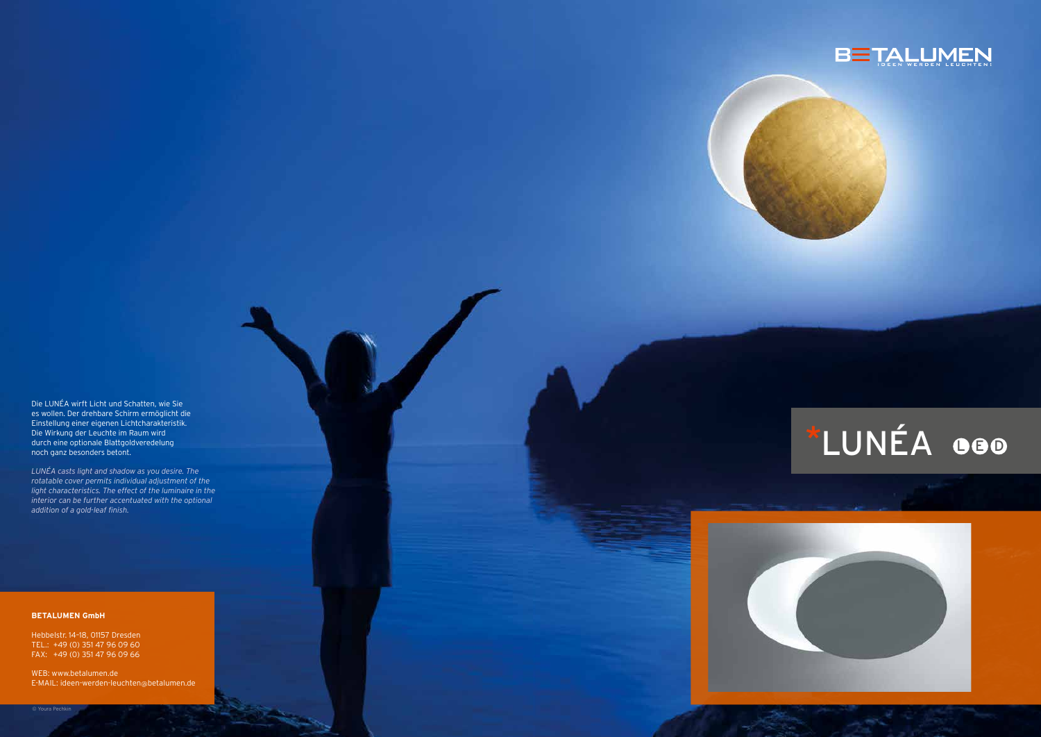Die LUNÉA wirft Licht und Schatten, wie Sie es wollen. Der drehbare Schirm ermöglicht die Einstellung einer eigenen Lichtcharakteristik. Die Wirkung der Leuchte im Raum wird durch eine optionale Blattgoldveredelung noch ganz besonders betont.

## \*LUNÉA **DEO**



*LUNÉA casts light and shadow as you desire. The rotatable cover permits individual adjustment of the light characteristics. The effect of the luminaire in the interior can be further accentuated with the optional addition of a gold-leaf finish.*

## **BETALUMEN GmbH**

Hebbelstr. 14–18, 01157 Dresden TEL.: +49 (0) 351 47 96 09 60 FAX: +49 (0) 351 47 96 09 66

WEB: www.betalumen.de E-MAIL: ideen-werden-leuchten @betalumen.de